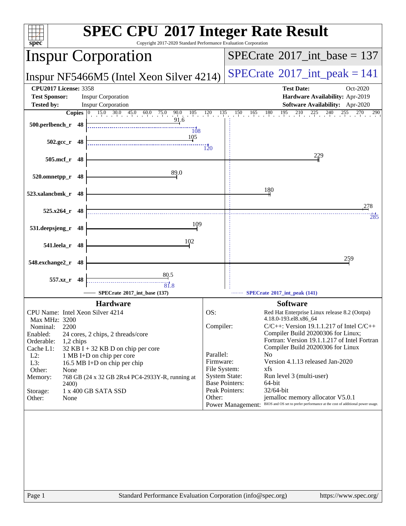| spec <sup>®</sup>                                                                                                                                                                                                                                                                                                                                                                                                                                             | <b>SPEC CPU®2017 Integer Rate Result</b><br>Copyright 2017-2020 Standard Performance Evaluation Corporation                                                                                                                                                                                                                                                                                                                                                                                                                                                                                                                                                           |
|---------------------------------------------------------------------------------------------------------------------------------------------------------------------------------------------------------------------------------------------------------------------------------------------------------------------------------------------------------------------------------------------------------------------------------------------------------------|-----------------------------------------------------------------------------------------------------------------------------------------------------------------------------------------------------------------------------------------------------------------------------------------------------------------------------------------------------------------------------------------------------------------------------------------------------------------------------------------------------------------------------------------------------------------------------------------------------------------------------------------------------------------------|
| <b>Inspur Corporation</b>                                                                                                                                                                                                                                                                                                                                                                                                                                     | $SPECrate^{\circledast}2017\_int\_base = 137$                                                                                                                                                                                                                                                                                                                                                                                                                                                                                                                                                                                                                         |
| Inspur NF5466M5 (Intel Xeon Silver 4214)                                                                                                                                                                                                                                                                                                                                                                                                                      | $SPECTate$ <sup>®</sup> 2017_int_peak = 141                                                                                                                                                                                                                                                                                                                                                                                                                                                                                                                                                                                                                           |
| <b>CPU2017 License: 3358</b><br><b>Inspur Corporation</b><br><b>Test Sponsor:</b><br><b>Tested by:</b><br><b>Inspur Corporation</b><br>$\frac{15.0}{15}$ 30.0 45.0 60.0 75.0 90.0 105 120 135<br>Copies $ 0\rangle$                                                                                                                                                                                                                                           | <b>Test Date:</b><br>Oct-2020<br>Hardware Availability: Apr-2019<br><b>Software Availability:</b> Apr-2020<br>$150 \t165 \t180 \t195 \t210$<br>$225$ 24<br>240<br>255<br>270<br>290                                                                                                                                                                                                                                                                                                                                                                                                                                                                                   |
| 91.6<br>500.perlbench_r 48<br>$\overline{108}$<br>105<br>$502.\text{gcc r}$ 48                                                                                                                                                                                                                                                                                                                                                                                |                                                                                                                                                                                                                                                                                                                                                                                                                                                                                                                                                                                                                                                                       |
| 505.mcf_r 48                                                                                                                                                                                                                                                                                                                                                                                                                                                  | $\overline{120}$<br>229                                                                                                                                                                                                                                                                                                                                                                                                                                                                                                                                                                                                                                               |
| 89.0<br>520.omnetpp_r<br>48                                                                                                                                                                                                                                                                                                                                                                                                                                   | 180                                                                                                                                                                                                                                                                                                                                                                                                                                                                                                                                                                                                                                                                   |
| 523.xalancbmk_r 48<br>$525.x264$ r 48                                                                                                                                                                                                                                                                                                                                                                                                                         | 278                                                                                                                                                                                                                                                                                                                                                                                                                                                                                                                                                                                                                                                                   |
| 109<br>531.deepsjeng_r<br>48                                                                                                                                                                                                                                                                                                                                                                                                                                  | 285                                                                                                                                                                                                                                                                                                                                                                                                                                                                                                                                                                                                                                                                   |
| 102<br>541.leela_r 48<br>548.exchange2_r 48                                                                                                                                                                                                                                                                                                                                                                                                                   | 259                                                                                                                                                                                                                                                                                                                                                                                                                                                                                                                                                                                                                                                                   |
| 80.5<br>557.xz r 48<br>$\overline{81.8}$<br>SPECrate®2017_int_base (137)                                                                                                                                                                                                                                                                                                                                                                                      | SPECrate®2017_int_peak (141)                                                                                                                                                                                                                                                                                                                                                                                                                                                                                                                                                                                                                                          |
| <b>Hardware</b><br>CPU Name: Intel Xeon Silver 4214<br>Max MHz: 3200<br>2200<br>Nominal:<br>Enabled:<br>24 cores, 2 chips, 2 threads/core<br>Orderable:<br>1,2 chips<br>Cache L1:<br>$32$ KB I + 32 KB D on chip per core<br>$L2$ :<br>1 MB I+D on chip per core<br>L3:<br>16.5 MB I+D on chip per chip<br>Other:<br>None<br>768 GB (24 x 32 GB 2Rx4 PC4-2933Y-R, running at<br>Memory:<br><b>2400</b> )<br>Storage:<br>1 x 400 GB SATA SSD<br>Other:<br>None | <b>Software</b><br>OS:<br>Red Hat Enterprise Linux release 8.2 (Ootpa)<br>4.18.0-193.el8.x86_64<br>Compiler:<br>$C/C++$ : Version 19.1.1.217 of Intel $C/C++$<br>Compiler Build 20200306 for Linux;<br>Fortran: Version 19.1.1.217 of Intel Fortran<br>Compiler Build 20200306 for Linux<br>Parallel:<br>N <sub>0</sub><br>Firmware:<br>Version 4.1.13 released Jan-2020<br>File System:<br>xfs<br><b>System State:</b><br>Run level 3 (multi-user)<br><b>Base Pointers:</b><br>64-bit<br>Peak Pointers:<br>32/64-bit<br>Other:<br>jemalloc memory allocator V5.0.1<br>Power Management: BIOS and OS set to prefer performance at the cost of additional power usage. |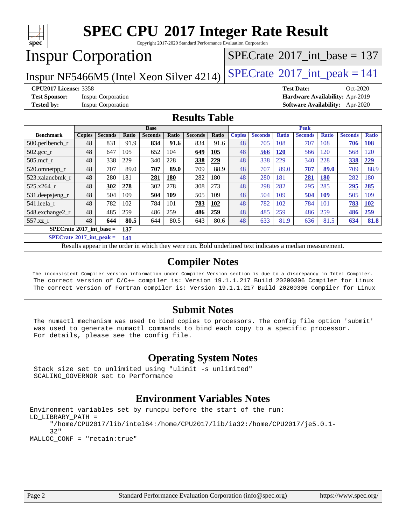

Copyright 2017-2020 Standard Performance Evaluation Corporation

# Inspur Corporation

 $SPECTate$ <sup>®</sup>[2017\\_int\\_base =](http://www.spec.org/auto/cpu2017/Docs/result-fields.html#SPECrate2017intbase) 137

Inspur NF5466M5 (Intel Xeon Silver 4214)  $SPECrate^{\circ}2017\_int\_peak = 141$  $SPECrate^{\circ}2017\_int\_peak = 141$ 

**[Test Sponsor:](http://www.spec.org/auto/cpu2017/Docs/result-fields.html#TestSponsor)** Inspur Corporation **[Hardware Availability:](http://www.spec.org/auto/cpu2017/Docs/result-fields.html#HardwareAvailability)** Apr-2019

**[CPU2017 License:](http://www.spec.org/auto/cpu2017/Docs/result-fields.html#CPU2017License)** 3358 **[Test Date:](http://www.spec.org/auto/cpu2017/Docs/result-fields.html#TestDate)** Oct-2020 **[Tested by:](http://www.spec.org/auto/cpu2017/Docs/result-fields.html#Testedby)** Inspur Corporation **[Software Availability:](http://www.spec.org/auto/cpu2017/Docs/result-fields.html#SoftwareAvailability)** Apr-2020

#### **[Results Table](http://www.spec.org/auto/cpu2017/Docs/result-fields.html#ResultsTable)**

|                                   | <b>Base</b>   |                |              |                | <b>Peak</b>  |                |       |               |                |              |                |              |                |              |
|-----------------------------------|---------------|----------------|--------------|----------------|--------------|----------------|-------|---------------|----------------|--------------|----------------|--------------|----------------|--------------|
| <b>Benchmark</b>                  | <b>Copies</b> | <b>Seconds</b> | <b>Ratio</b> | <b>Seconds</b> | <b>Ratio</b> | <b>Seconds</b> | Ratio | <b>Copies</b> | <b>Seconds</b> | <b>Ratio</b> | <b>Seconds</b> | <b>Ratio</b> | <b>Seconds</b> | <b>Ratio</b> |
| $500.$ perlbench_r                | 48            | 831            | 91.9         | 834            | 91.6         | 834            | 91.6  | 48            | 705            | 108          | 707            | 108          | 706            | <b>108</b>   |
| $502.\text{gcc}$ <sub>r</sub>     | 48            | 647            | 105          | 652            | 104          | 649            | 105   | 48            | 566            | <b>120</b>   | 566            | 120          | 568            | 120          |
| $505$ .mcf r                      | 48            | 338            | 229          | 340            | 228          | 338            | 229   | 48            | 338            | 229          | 340            | 228          | 338            | 229          |
| 520.omnetpp_r                     | 48            | 707            | 89.0         | 707            | 89.0         | 709            | 88.9  | 48            | 707            | 89.0         | 707            | 89.0         | 709            | 88.9         |
| 523.xalancbmk r                   | 48            | 280            | 181          | 281            | <b>180</b>   | 282            | 180   | 48            | 280            | 181          | 281            | <b>180</b>   | 282            | 180          |
| 525.x264 r                        | 48            | 302            | 278          | 302            | 278          | 308            | 273   | 48            | 298            | 282          | 295            | 285          | 295            | 285          |
| 531.deepsjeng_r                   | 48            | 504            | 109          | 504            | 109          | 505            | 109   | 48            | 504            | 109          | 504            | 109          | 505            | 109          |
| 541.leela r                       | 48            | 782            | 102          | 784            | 101          | 783            | 102   | 48            | 782            | 102          | 784            | 101          | 783            | <b>102</b>   |
| 548.exchange2_r                   | 48            | 485            | 259          | 486            | 259          | 486            | 259   | 48            | 485            | 259          | 486            | 259          | 486            | 259          |
| 557.xz r                          | 48            | 644            | 80.5         | 644            | 80.5         | 643            | 80.6  | 48            | 633            | 81.9         | 636            | 81.5         | 634            | 81.8         |
| $SPECrate^{\circ}2017$ int base = |               |                | 137          |                |              |                |       |               |                |              |                |              |                |              |

**[SPECrate](http://www.spec.org/auto/cpu2017/Docs/result-fields.html#SPECrate2017intpeak)[2017\\_int\\_peak =](http://www.spec.org/auto/cpu2017/Docs/result-fields.html#SPECrate2017intpeak) 141**

Results appear in the [order in which they were run.](http://www.spec.org/auto/cpu2017/Docs/result-fields.html#RunOrder) Bold underlined text [indicates a median measurement.](http://www.spec.org/auto/cpu2017/Docs/result-fields.html#Median)

#### **[Compiler Notes](http://www.spec.org/auto/cpu2017/Docs/result-fields.html#CompilerNotes)**

 The inconsistent Compiler version information under Compiler Version section is due to a discrepancy in Intel Compiler. The correct version of C/C++ compiler is: Version 19.1.1.217 Build 20200306 Compiler for Linux The correct version of Fortran compiler is: Version 19.1.1.217 Build 20200306 Compiler for Linux

#### **[Submit Notes](http://www.spec.org/auto/cpu2017/Docs/result-fields.html#SubmitNotes)**

 The numactl mechanism was used to bind copies to processors. The config file option 'submit' was used to generate numactl commands to bind each copy to a specific processor. For details, please see the config file.

### **[Operating System Notes](http://www.spec.org/auto/cpu2017/Docs/result-fields.html#OperatingSystemNotes)**

 Stack size set to unlimited using "ulimit -s unlimited" SCALING\_GOVERNOR set to Performance

### **[Environment Variables Notes](http://www.spec.org/auto/cpu2017/Docs/result-fields.html#EnvironmentVariablesNotes)**

```
Environment variables set by runcpu before the start of the run:
LD_LIBRARY_PATH =
      "/home/CPU2017/lib/intel64:/home/CPU2017/lib/ia32:/home/CPU2017/je5.0.1-
      32"
MALLOC_CONF = "retain:true"
```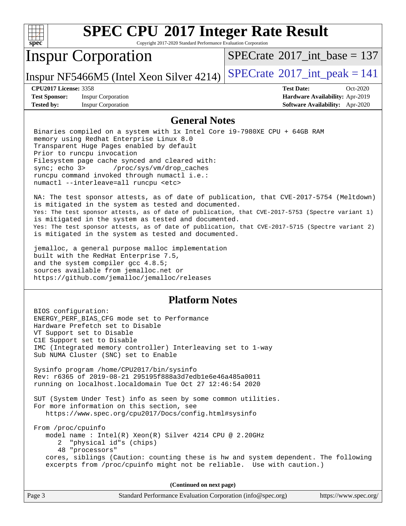| c<br>е |  |  |  |  |  |  |
|--------|--|--|--|--|--|--|

Copyright 2017-2020 Standard Performance Evaluation Corporation

# Inspur Corporation

 $SPECrate$ <sup>®</sup>[2017\\_int\\_base =](http://www.spec.org/auto/cpu2017/Docs/result-fields.html#SPECrate2017intbase) 137

Inspur NF5466M5 (Intel Xeon Silver 4214)  $SPECrate^{\circ}2017\_int\_peak = 141$  $SPECrate^{\circ}2017\_int\_peak = 141$ 

**[Test Sponsor:](http://www.spec.org/auto/cpu2017/Docs/result-fields.html#TestSponsor)** Inspur Corporation **[Hardware Availability:](http://www.spec.org/auto/cpu2017/Docs/result-fields.html#HardwareAvailability)** Apr-2019 **[Tested by:](http://www.spec.org/auto/cpu2017/Docs/result-fields.html#Testedby)** Inspur Corporation **[Software Availability:](http://www.spec.org/auto/cpu2017/Docs/result-fields.html#SoftwareAvailability)** Apr-2020

**[CPU2017 License:](http://www.spec.org/auto/cpu2017/Docs/result-fields.html#CPU2017License)** 3358 **[Test Date:](http://www.spec.org/auto/cpu2017/Docs/result-fields.html#TestDate)** Oct-2020

#### **[General Notes](http://www.spec.org/auto/cpu2017/Docs/result-fields.html#GeneralNotes)**

 Binaries compiled on a system with 1x Intel Core i9-7980XE CPU + 64GB RAM memory using Redhat Enterprise Linux 8.0 Transparent Huge Pages enabled by default Prior to runcpu invocation Filesystem page cache synced and cleared with: sync; echo 3> /proc/sys/vm/drop\_caches runcpu command invoked through numactl i.e.: numactl --interleave=all runcpu <etc>

 NA: The test sponsor attests, as of date of publication, that CVE-2017-5754 (Meltdown) is mitigated in the system as tested and documented. Yes: The test sponsor attests, as of date of publication, that CVE-2017-5753 (Spectre variant 1) is mitigated in the system as tested and documented. Yes: The test sponsor attests, as of date of publication, that CVE-2017-5715 (Spectre variant 2) is mitigated in the system as tested and documented.

 jemalloc, a general purpose malloc implementation built with the RedHat Enterprise 7.5, and the system compiler gcc 4.8.5; sources available from jemalloc.net or <https://github.com/jemalloc/jemalloc/releases>

### **[Platform Notes](http://www.spec.org/auto/cpu2017/Docs/result-fields.html#PlatformNotes)**

 BIOS configuration: ENERGY\_PERF\_BIAS\_CFG mode set to Performance Hardware Prefetch set to Disable VT Support set to Disable C1E Support set to Disable IMC (Integrated memory controller) Interleaving set to 1-way Sub NUMA Cluster (SNC) set to Enable Sysinfo program /home/CPU2017/bin/sysinfo Rev: r6365 of 2019-08-21 295195f888a3d7edb1e6e46a485a0011 running on localhost.localdomain Tue Oct 27 12:46:54 2020 SUT (System Under Test) info as seen by some common utilities. For more information on this section, see <https://www.spec.org/cpu2017/Docs/config.html#sysinfo> From /proc/cpuinfo model name : Intel(R) Xeon(R) Silver 4214 CPU @ 2.20GHz 2 "physical id"s (chips) 48 "processors" cores, siblings (Caution: counting these is hw and system dependent. The following excerpts from /proc/cpuinfo might not be reliable. Use with caution.)

**(Continued on next page)**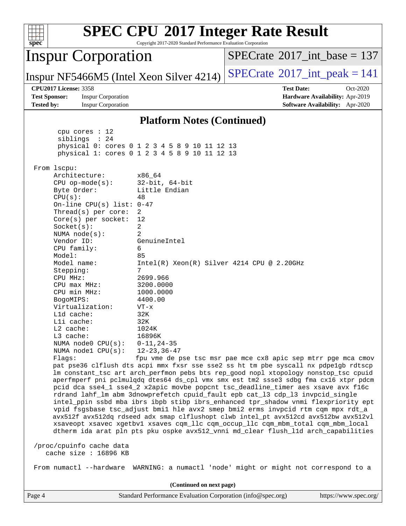| spec <sup>®</sup>                                                                                                                                                                                                                                                                                                                                                                                                                                                                                                                                                             | Copyright 2017-2020 Standard Performance Evaluation Corporation                                                                                                                                                                                          | <b>SPEC CPU®2017 Integer Rate Result</b>                                                                                                                                                                                                                                                                                                                                                                                                                                                                                                                                                                                                                                                                                                                                                                                                                                                                                                                                                                                                    |
|-------------------------------------------------------------------------------------------------------------------------------------------------------------------------------------------------------------------------------------------------------------------------------------------------------------------------------------------------------------------------------------------------------------------------------------------------------------------------------------------------------------------------------------------------------------------------------|----------------------------------------------------------------------------------------------------------------------------------------------------------------------------------------------------------------------------------------------------------|---------------------------------------------------------------------------------------------------------------------------------------------------------------------------------------------------------------------------------------------------------------------------------------------------------------------------------------------------------------------------------------------------------------------------------------------------------------------------------------------------------------------------------------------------------------------------------------------------------------------------------------------------------------------------------------------------------------------------------------------------------------------------------------------------------------------------------------------------------------------------------------------------------------------------------------------------------------------------------------------------------------------------------------------|
| <b>Inspur Corporation</b>                                                                                                                                                                                                                                                                                                                                                                                                                                                                                                                                                     |                                                                                                                                                                                                                                                          | $SPECTate$ <sup>®</sup> 2017_int_base = 137                                                                                                                                                                                                                                                                                                                                                                                                                                                                                                                                                                                                                                                                                                                                                                                                                                                                                                                                                                                                 |
| Inspur NF5466M5 (Intel Xeon Silver 4214)                                                                                                                                                                                                                                                                                                                                                                                                                                                                                                                                      |                                                                                                                                                                                                                                                          | $SPECTate$ <sup>®</sup> 2017_int_peak = 141                                                                                                                                                                                                                                                                                                                                                                                                                                                                                                                                                                                                                                                                                                                                                                                                                                                                                                                                                                                                 |
| <b>CPU2017 License: 3358</b><br><b>Test Sponsor:</b><br><b>Inspur Corporation</b><br><b>Tested by:</b><br><b>Inspur Corporation</b>                                                                                                                                                                                                                                                                                                                                                                                                                                           |                                                                                                                                                                                                                                                          | <b>Test Date:</b><br>Oct-2020<br>Hardware Availability: Apr-2019<br>Software Availability: Apr-2020                                                                                                                                                                                                                                                                                                                                                                                                                                                                                                                                                                                                                                                                                                                                                                                                                                                                                                                                         |
|                                                                                                                                                                                                                                                                                                                                                                                                                                                                                                                                                                               | <b>Platform Notes (Continued)</b>                                                                                                                                                                                                                        |                                                                                                                                                                                                                                                                                                                                                                                                                                                                                                                                                                                                                                                                                                                                                                                                                                                                                                                                                                                                                                             |
| cpu cores $: 12$<br>siblings : 24<br>physical 0: cores 0 1 2 3 4 5 8 9 10 11 12 13<br>physical 1: cores 0 1 2 3 4 5 8 9 10 11 12 13                                                                                                                                                                                                                                                                                                                                                                                                                                           |                                                                                                                                                                                                                                                          |                                                                                                                                                                                                                                                                                                                                                                                                                                                                                                                                                                                                                                                                                                                                                                                                                                                                                                                                                                                                                                             |
| From lscpu:<br>Architecture:<br>$CPU$ op-mode( $s$ ):<br>Byte Order:<br>CPU(s):<br>48<br>On-line CPU(s) list: 0-47<br>Thread(s) per core:<br>2<br>Core(s) per socket:<br>12<br>2<br>Socket(s):<br>$\overline{2}$<br>NUMA node(s):<br>Vendor ID:<br>CPU family:<br>6<br>Model:<br>85<br>Model name:<br>7<br>Stepping:<br>CPU MHz:<br>$CPU$ max $MHz:$<br>CPU min MHz:<br>BogoMIPS:<br>Virtualization:<br>L1d cache:<br>$L1i$ cache:<br>$L2$ cache:<br>$L3$ cache:<br>NUMA node0 CPU(s):<br>NUMA nodel $CPU(s):$<br>Flags:<br>/proc/cpuinfo cache data<br>cache size : 16896 KB | x86 64<br>$32$ -bit, $64$ -bit<br>Little Endian<br>GenuineIntel<br>$Intel(R) Xeon(R) Silver 4214 CPU @ 2.20GHz$<br>2699.966<br>3200.0000<br>1000.0000<br>4400.00<br>$VT - x$<br>32K<br>32K<br>1024K<br>16896K<br>$0 - 11, 24 - 35$<br>$12 - 23, 36 - 47$ | fpu vme de pse tsc msr pae mce cx8 apic sep mtrr pge mca cmov<br>pat pse36 clflush dts acpi mmx fxsr sse sse2 ss ht tm pbe syscall nx pdpelgb rdtscp<br>lm constant_tsc art arch_perfmon pebs bts rep_good nopl xtopology nonstop_tsc cpuid<br>aperfmperf pni pclmulqdq dtes64 ds_cpl vmx smx est tm2 ssse3 sdbg fma cx16 xtpr pdcm<br>pcid dca sse4_1 sse4_2 x2apic movbe popcnt tsc_deadline_timer aes xsave avx f16c<br>rdrand lahf_lm abm 3dnowprefetch cpuid_fault epb cat_13 cdp_13 invpcid_single<br>intel_ppin ssbd mba ibrs ibpb stibp ibrs_enhanced tpr_shadow vnmi flexpriority ept<br>vpid fsgsbase tsc_adjust bmil hle avx2 smep bmi2 erms invpcid rtm cqm mpx rdt_a<br>avx512f avx512dq rdseed adx smap clflushopt clwb intel_pt avx512cd avx512bw avx512vl<br>xsaveopt xsavec xgetbvl xsaves cqm_llc cqm_occup_llc cqm_mbm_total cqm_mbm_local<br>dtherm ida arat pln pts pku ospke avx512_vnni md_clear flush_lld arch_capabilities<br>From numactl --hardware WARNING: a numactl 'node' might or might not correspond to a |
|                                                                                                                                                                                                                                                                                                                                                                                                                                                                                                                                                                               | (Continued on next page)                                                                                                                                                                                                                                 |                                                                                                                                                                                                                                                                                                                                                                                                                                                                                                                                                                                                                                                                                                                                                                                                                                                                                                                                                                                                                                             |
| Page 4                                                                                                                                                                                                                                                                                                                                                                                                                                                                                                                                                                        | Standard Performance Evaluation Corporation (info@spec.org)                                                                                                                                                                                              | https://www.spec.org/                                                                                                                                                                                                                                                                                                                                                                                                                                                                                                                                                                                                                                                                                                                                                                                                                                                                                                                                                                                                                       |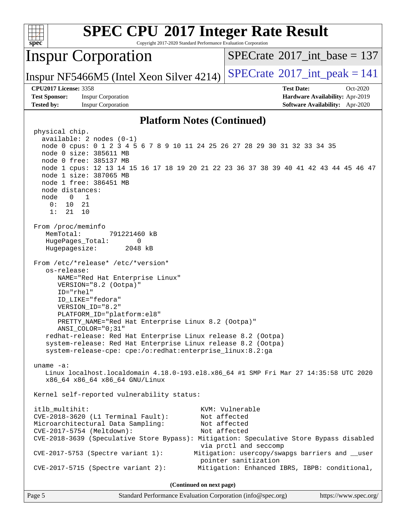| <b>SPEC CPU®2017 Integer Rate Result</b><br>Copyright 2017-2020 Standard Performance Evaluation Corporation<br>spec <sup>®</sup>                                                                                                                                                                                                                                                                                                                                         |                                                                                                     |
|--------------------------------------------------------------------------------------------------------------------------------------------------------------------------------------------------------------------------------------------------------------------------------------------------------------------------------------------------------------------------------------------------------------------------------------------------------------------------|-----------------------------------------------------------------------------------------------------|
| <b>Inspur Corporation</b>                                                                                                                                                                                                                                                                                                                                                                                                                                                | $SPECrate^{\circledast}2017\_int\_base = 137$                                                       |
| Inspur NF5466M5 (Intel Xeon Silver 4214)                                                                                                                                                                                                                                                                                                                                                                                                                                 | $SPECrate$ <sup>®</sup> 2017_int_peak = 141                                                         |
| <b>CPU2017 License: 3358</b><br><b>Test Sponsor:</b><br><b>Inspur Corporation</b><br><b>Tested by:</b><br><b>Inspur Corporation</b>                                                                                                                                                                                                                                                                                                                                      | <b>Test Date:</b><br>Oct-2020<br>Hardware Availability: Apr-2019<br>Software Availability: Apr-2020 |
| <b>Platform Notes (Continued)</b>                                                                                                                                                                                                                                                                                                                                                                                                                                        |                                                                                                     |
| physical chip.<br>available: 2 nodes (0-1)<br>node 0 cpus: 0 1 2 3 4 5 6 7 8 9 10 11 24 25 26 27 28 29 30 31 32 33 34 35<br>node 0 size: 385611 MB<br>node 0 free: 385137 MB<br>node 1 cpus: 12 13 14 15 16 17 18 19 20 21 22 23 36 37 38 39 40 41 42 43 44 45 46 47<br>node 1 size: 387065 MB<br>node 1 free: 386451 MB<br>node distances:<br>$\begin{array}{ccc} & 0 & 1 \end{array}$<br>node<br>0:<br>10 21<br>1:<br>21 10                                            |                                                                                                     |
| From /proc/meminfo<br>MemTotal:<br>791221460 kB<br>HugePages_Total:<br>0<br>Hugepagesize:<br>2048 kB                                                                                                                                                                                                                                                                                                                                                                     |                                                                                                     |
| From /etc/*release* /etc/*version*<br>os-release:<br>NAME="Red Hat Enterprise Linux"<br>VERSION="8.2 (Ootpa)"<br>ID="rhel"<br>ID LIKE="fedora"<br>VERSION_ID="8.2"<br>PLATFORM_ID="platform:el8"<br>PRETTY_NAME="Red Hat Enterprise Linux 8.2 (Ootpa)"<br>ANSI_COLOR="0;31"<br>redhat-release: Red Hat Enterprise Linux release 8.2 (Ootpa)<br>system-release: Red Hat Enterprise Linux release 8.2 (Ootpa)<br>system-release-cpe: cpe:/o:redhat:enterprise_linux:8.2:ga |                                                                                                     |
| uname $-a$ :<br>Linux localhost.localdomain 4.18.0-193.el8.x86_64 #1 SMP Fri Mar 27 14:35:58 UTC 2020<br>x86_64 x86_64 x86_64 GNU/Linux                                                                                                                                                                                                                                                                                                                                  |                                                                                                     |
| Kernel self-reported vulnerability status:                                                                                                                                                                                                                                                                                                                                                                                                                               |                                                                                                     |
| itlb_multihit:<br>$CVE-2018-3620$ (L1 Terminal Fault):<br>Microarchitectural Data Sampling:<br>CVE-2017-5754 (Meltdown):<br>CVE-2018-3639 (Speculative Store Bypass): Mitigation: Speculative Store Bypass disabled                                                                                                                                                                                                                                                      | KVM: Vulnerable<br>Not affected<br>Not affected<br>Not affected<br>via prctl and seccomp            |
| CVE-2017-5753 (Spectre variant 1):                                                                                                                                                                                                                                                                                                                                                                                                                                       | Mitigation: usercopy/swapgs barriers and __user<br>pointer sanitization                             |
| $CVE-2017-5715$ (Spectre variant 2):                                                                                                                                                                                                                                                                                                                                                                                                                                     | Mitigation: Enhanced IBRS, IBPB: conditional,                                                       |

**(Continued on next page)**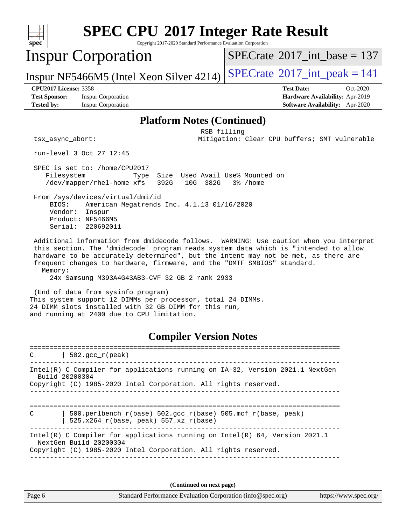| $spec^*$                                                                  |                                                                                      | Copyright 2017-2020 Standard Performance Evaluation Corporation                                                      | <b>SPEC CPU®2017 Integer Rate Result</b>                                                                                                                                                                                                                                                                                                       |
|---------------------------------------------------------------------------|--------------------------------------------------------------------------------------|----------------------------------------------------------------------------------------------------------------------|------------------------------------------------------------------------------------------------------------------------------------------------------------------------------------------------------------------------------------------------------------------------------------------------------------------------------------------------|
|                                                                           | <b>Inspur Corporation</b>                                                            |                                                                                                                      | $SPECrate^{\circ}2017\_int\_base = 137$                                                                                                                                                                                                                                                                                                        |
|                                                                           | Inspur NF5466M5 (Intel Xeon Silver 4214)                                             |                                                                                                                      | $SPECrate^{\circ}2017\_int\_peak = 141$                                                                                                                                                                                                                                                                                                        |
| <b>CPU2017 License: 3358</b><br><b>Test Sponsor:</b><br><b>Tested by:</b> | <b>Inspur Corporation</b><br><b>Inspur Corporation</b>                               |                                                                                                                      | <b>Test Date:</b><br>Oct-2020<br>Hardware Availability: Apr-2019<br>Software Availability: Apr-2020                                                                                                                                                                                                                                            |
|                                                                           |                                                                                      | <b>Platform Notes (Continued)</b>                                                                                    |                                                                                                                                                                                                                                                                                                                                                |
| tsx_async_abort:                                                          |                                                                                      | RSB filling                                                                                                          | Mitigation: Clear CPU buffers; SMT vulnerable                                                                                                                                                                                                                                                                                                  |
|                                                                           | run-level 3 Oct 27 12:45                                                             |                                                                                                                      |                                                                                                                                                                                                                                                                                                                                                |
| Filesystem                                                                | SPEC is set to: /home/CPU2017<br>Type<br>/dev/mapper/rhel-home xfs                   | Size Used Avail Use% Mounted on<br>392G<br>10G 382G                                                                  | 3% /home                                                                                                                                                                                                                                                                                                                                       |
| BIOS:<br>Vendor:                                                          | From /sys/devices/virtual/dmi/id<br>Inspur<br>Product: NF5466M5<br>Serial: 220692011 | American Megatrends Inc. 4.1.13 01/16/2020                                                                           |                                                                                                                                                                                                                                                                                                                                                |
| Memory:                                                                   |                                                                                      | 24x Samsung M393A4G43AB3-CVF 32 GB 2 rank 2933                                                                       | Additional information from dmidecode follows. WARNING: Use caution when you interpret<br>this section. The 'dmidecode' program reads system data which is "intended to allow<br>hardware to be accurately determined", but the intent may not be met, as there are<br>frequent changes to hardware, firmware, and the "DMTF SMBIOS" standard. |
|                                                                           | (End of data from sysinfo program)<br>and running at 2400 due to CPU limitation.     | This system support 12 DIMMs per processor, total 24 DIMMs.<br>24 DIMM slots installed with 32 GB DIMM for this run, |                                                                                                                                                                                                                                                                                                                                                |
|                                                                           |                                                                                      | <b>Compiler Version Notes</b>                                                                                        |                                                                                                                                                                                                                                                                                                                                                |
|                                                                           | $502.\text{gcc\_r}(\text{peak})$                                                     |                                                                                                                      |                                                                                                                                                                                                                                                                                                                                                |
| Build 20200304                                                            |                                                                                      | Copyright (C) 1985-2020 Intel Corporation. All rights reserved.                                                      | Intel(R) C Compiler for applications running on IA-32, Version 2021.1 NextGen                                                                                                                                                                                                                                                                  |
| C                                                                         | 525.x264_r(base, peak) 557.xz_r(base)                                                |                                                                                                                      | 500.perlbench_r(base) 502.gcc_r(base) 505.mcf_r(base, peak)                                                                                                                                                                                                                                                                                    |

Intel(R) C Compiler for applications running on Intel(R) 64, Version 2021.1 NextGen Build 20200304 Copyright (C) 1985-2020 Intel Corporation. All rights reserved.

------------------------------------------------------------------------------

**(Continued on next page)**

Page 6 Standard Performance Evaluation Corporation [\(info@spec.org\)](mailto:info@spec.org) <https://www.spec.org/>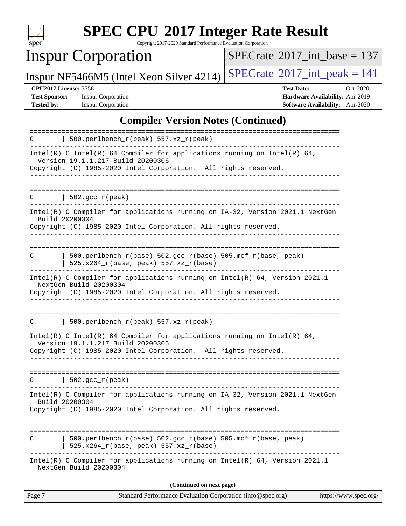

Copyright 2017-2020 Standard Performance Evaluation Corporation

# Inspur Corporation

 $SPECrate$ <sup>®</sup>[2017\\_int\\_base =](http://www.spec.org/auto/cpu2017/Docs/result-fields.html#SPECrate2017intbase) 137

Inspur NF5466M5 (Intel Xeon Silver 4214)  $SPECTate$ <sup>®[2017\\_int\\_peak = 1](http://www.spec.org/auto/cpu2017/Docs/result-fields.html#SPECrate2017intpeak)41</sup>

**[Test Sponsor:](http://www.spec.org/auto/cpu2017/Docs/result-fields.html#TestSponsor)** Inspur Corporation **[Hardware Availability:](http://www.spec.org/auto/cpu2017/Docs/result-fields.html#HardwareAvailability)** Apr-2019

**[CPU2017 License:](http://www.spec.org/auto/cpu2017/Docs/result-fields.html#CPU2017License)** 3358 **[Test Date:](http://www.spec.org/auto/cpu2017/Docs/result-fields.html#TestDate)** Oct-2020 **[Tested by:](http://www.spec.org/auto/cpu2017/Docs/result-fields.html#Testedby)** Inspur Corporation **[Software Availability:](http://www.spec.org/auto/cpu2017/Docs/result-fields.html#SoftwareAvailability)** Apr-2020

### **[Compiler Version Notes \(Continued\)](http://www.spec.org/auto/cpu2017/Docs/result-fields.html#CompilerVersionNotes)**

| Standard Performance Evaluation Corporation (info@spec.org)<br>https://www.spec.org/<br>Page 7                |
|---------------------------------------------------------------------------------------------------------------|
| (Continued on next page)                                                                                      |
| Intel(R) C Compiler for applications running on Intel(R) 64, Version 2021.1<br>NextGen Build 20200304         |
| 500.perlbench_r(base) 502.gcc_r(base) 505.mcf_r(base, peak)<br>C<br>525.x264_r(base, peak) 557.xz_r(base)     |
| Copyright (C) 1985-2020 Intel Corporation. All rights reserved.                                               |
| Intel(R) C Compiler for applications running on IA-32, Version 2021.1 NextGen<br>Build 20200304               |
| $\vert$ 502.gcc_r(peak)<br>C                                                                                  |
| Version 19.1.1.217 Build 20200306<br>Copyright (C) 1985-2020 Intel Corporation. All rights reserved.          |
| Intel(R) C Intel(R) 64 Compiler for applications running on Intel(R) 64,                                      |
| $500.perlbench_r(peak) 557. xz_r(peak)$<br>C                                                                  |
| NextGen Build 20200304<br>Copyright (C) 1985-2020 Intel Corporation. All rights reserved.                     |
| Intel(R) C Compiler for applications running on $Intel(R) 64$ , Version 2021.1                                |
| 500.perlbench_r(base) 502.gcc_r(base) 505.mcf_r(base, peak)<br>C<br>525.x264_r(base, peak) 557.xz_r(base)     |
| Copyright (C) 1985-2020 Intel Corporation. All rights reserved.                                               |
| Intel(R) C Compiler for applications running on IA-32, Version 2021.1 NextGen<br>Build 20200304               |
| $  502.\text{gcc_r}(\text{peak})$<br>C                                                                        |
| Copyright (C) 1985-2020 Intel Corporation. All rights reserved.                                               |
| Intel(R) C Intel(R) 64 Compiler for applications running on Intel(R) 64,<br>Version 19.1.1.217 Build 20200306 |
| 500.perlbench_r(peak) 557.xz_r(peak)<br>C                                                                     |
|                                                                                                               |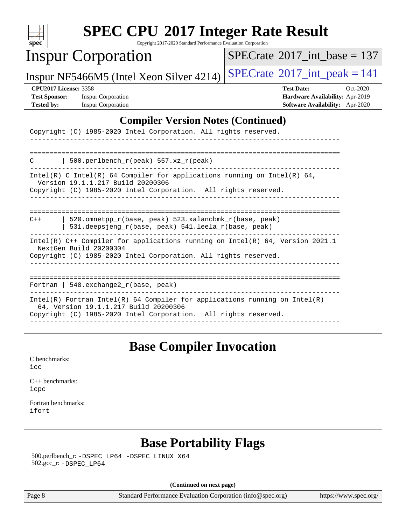| u<br>r |  |  |  |  |  |  |  |
|--------|--|--|--|--|--|--|--|

Copyright 2017-2020 Standard Performance Evaluation Corporation

## Inspur Corporation

 $SPECTate$ <sup>®</sup>[2017\\_int\\_base =](http://www.spec.org/auto/cpu2017/Docs/result-fields.html#SPECrate2017intbase) 137

Inspur NF5466M5 (Intel Xeon Silver 4214)  $SPECrate^{\circ}2017\_int\_peak = 141$  $SPECrate^{\circ}2017\_int\_peak = 141$ 

**[Test Sponsor:](http://www.spec.org/auto/cpu2017/Docs/result-fields.html#TestSponsor)** Inspur Corporation **[Hardware Availability:](http://www.spec.org/auto/cpu2017/Docs/result-fields.html#HardwareAvailability)** Apr-2019

**[CPU2017 License:](http://www.spec.org/auto/cpu2017/Docs/result-fields.html#CPU2017License)** 3358 **[Test Date:](http://www.spec.org/auto/cpu2017/Docs/result-fields.html#TestDate)** Oct-2020 **[Tested by:](http://www.spec.org/auto/cpu2017/Docs/result-fields.html#Testedby)** Inspur Corporation **[Software Availability:](http://www.spec.org/auto/cpu2017/Docs/result-fields.html#SoftwareAvailability)** Apr-2020

#### **[Compiler Version Notes \(Continued\)](http://www.spec.org/auto/cpu2017/Docs/result-fields.html#CompilerVersionNotes)**

| Copyright (C) 1985-2020 Intel Corporation. All rights reserved.                                                                                                                          |
|------------------------------------------------------------------------------------------------------------------------------------------------------------------------------------------|
|                                                                                                                                                                                          |
| 500.perlbench $r(\text{peak})$ 557.xz $r(\text{peak})$<br>C                                                                                                                              |
| Intel(R) C Intel(R) 64 Compiler for applications running on Intel(R) 64,<br>Version 19.1.1.217 Build 20200306<br>Copyright (C) 1985-2020 Intel Corporation. All rights reserved.         |
|                                                                                                                                                                                          |
| 520.omnetpp r(base, peak) 523.xalancbmk r(base, peak)<br>$C++$<br>531.deepsjeng_r(base, peak) 541.leela_r(base, peak)                                                                    |
| Intel(R) $C++$ Compiler for applications running on Intel(R) 64, Version 2021.1<br>NextGen Build 20200304<br>Copyright (C) 1985-2020 Intel Corporation. All rights reserved.             |
| Fortran   548. $exchange2 r(base, peak)$                                                                                                                                                 |
| $Intel(R)$ Fortran Intel(R) 64 Compiler for applications running on Intel(R)<br>64, Version 19.1.1.217 Build 20200306<br>Copyright (C) 1985-2020 Intel Corporation. All rights reserved. |

### **[Base Compiler Invocation](http://www.spec.org/auto/cpu2017/Docs/result-fields.html#BaseCompilerInvocation)**

[C benchmarks](http://www.spec.org/auto/cpu2017/Docs/result-fields.html#Cbenchmarks): [icc](http://www.spec.org/cpu2017/results/res2020q4/cpu2017-20201109-24372.flags.html#user_CCbase_intel_icc_66fc1ee009f7361af1fbd72ca7dcefbb700085f36577c54f309893dd4ec40d12360134090235512931783d35fd58c0460139e722d5067c5574d8eaf2b3e37e92)

[C++ benchmarks:](http://www.spec.org/auto/cpu2017/Docs/result-fields.html#CXXbenchmarks) [icpc](http://www.spec.org/cpu2017/results/res2020q4/cpu2017-20201109-24372.flags.html#user_CXXbase_intel_icpc_c510b6838c7f56d33e37e94d029a35b4a7bccf4766a728ee175e80a419847e808290a9b78be685c44ab727ea267ec2f070ec5dc83b407c0218cded6866a35d07)

[Fortran benchmarks](http://www.spec.org/auto/cpu2017/Docs/result-fields.html#Fortranbenchmarks): [ifort](http://www.spec.org/cpu2017/results/res2020q4/cpu2017-20201109-24372.flags.html#user_FCbase_intel_ifort_8111460550e3ca792625aed983ce982f94888b8b503583aa7ba2b8303487b4d8a21a13e7191a45c5fd58ff318f48f9492884d4413fa793fd88dd292cad7027ca)

### **[Base Portability Flags](http://www.spec.org/auto/cpu2017/Docs/result-fields.html#BasePortabilityFlags)**

 500.perlbench\_r: [-DSPEC\\_LP64](http://www.spec.org/cpu2017/results/res2020q4/cpu2017-20201109-24372.flags.html#b500.perlbench_r_basePORTABILITY_DSPEC_LP64) [-DSPEC\\_LINUX\\_X64](http://www.spec.org/cpu2017/results/res2020q4/cpu2017-20201109-24372.flags.html#b500.perlbench_r_baseCPORTABILITY_DSPEC_LINUX_X64) 502.gcc\_r: [-DSPEC\\_LP64](http://www.spec.org/cpu2017/results/res2020q4/cpu2017-20201109-24372.flags.html#suite_basePORTABILITY502_gcc_r_DSPEC_LP64)

**(Continued on next page)**

Page 8 Standard Performance Evaluation Corporation [\(info@spec.org\)](mailto:info@spec.org) <https://www.spec.org/>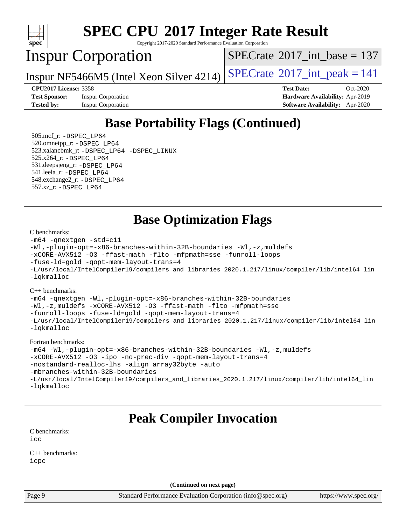

Copyright 2017-2020 Standard Performance Evaluation Corporation

## Inspur Corporation

 $SPECTate@2017_int\_base = 137$ 

Inspur NF5466M5 (Intel Xeon Silver 4214)  $SPECrate^{\circ}2017\_int\_peak = 141$  $SPECrate^{\circ}2017\_int\_peak = 141$ 

**[Test Sponsor:](http://www.spec.org/auto/cpu2017/Docs/result-fields.html#TestSponsor)** Inspur Corporation **[Hardware Availability:](http://www.spec.org/auto/cpu2017/Docs/result-fields.html#HardwareAvailability)** Apr-2019

**[CPU2017 License:](http://www.spec.org/auto/cpu2017/Docs/result-fields.html#CPU2017License)** 3358 **[Test Date:](http://www.spec.org/auto/cpu2017/Docs/result-fields.html#TestDate)** Oct-2020 **[Tested by:](http://www.spec.org/auto/cpu2017/Docs/result-fields.html#Testedby)** Inspur Corporation **[Software Availability:](http://www.spec.org/auto/cpu2017/Docs/result-fields.html#SoftwareAvailability)** Apr-2020

# **[Base Portability Flags \(Continued\)](http://www.spec.org/auto/cpu2017/Docs/result-fields.html#BasePortabilityFlags)**

 505.mcf\_r: [-DSPEC\\_LP64](http://www.spec.org/cpu2017/results/res2020q4/cpu2017-20201109-24372.flags.html#suite_basePORTABILITY505_mcf_r_DSPEC_LP64) 520.omnetpp\_r: [-DSPEC\\_LP64](http://www.spec.org/cpu2017/results/res2020q4/cpu2017-20201109-24372.flags.html#suite_basePORTABILITY520_omnetpp_r_DSPEC_LP64) 523.xalancbmk\_r: [-DSPEC\\_LP64](http://www.spec.org/cpu2017/results/res2020q4/cpu2017-20201109-24372.flags.html#suite_basePORTABILITY523_xalancbmk_r_DSPEC_LP64) [-DSPEC\\_LINUX](http://www.spec.org/cpu2017/results/res2020q4/cpu2017-20201109-24372.flags.html#b523.xalancbmk_r_baseCXXPORTABILITY_DSPEC_LINUX) 525.x264\_r: [-DSPEC\\_LP64](http://www.spec.org/cpu2017/results/res2020q4/cpu2017-20201109-24372.flags.html#suite_basePORTABILITY525_x264_r_DSPEC_LP64) 531.deepsjeng\_r: [-DSPEC\\_LP64](http://www.spec.org/cpu2017/results/res2020q4/cpu2017-20201109-24372.flags.html#suite_basePORTABILITY531_deepsjeng_r_DSPEC_LP64) 541.leela\_r: [-DSPEC\\_LP64](http://www.spec.org/cpu2017/results/res2020q4/cpu2017-20201109-24372.flags.html#suite_basePORTABILITY541_leela_r_DSPEC_LP64) 548.exchange2\_r: [-DSPEC\\_LP64](http://www.spec.org/cpu2017/results/res2020q4/cpu2017-20201109-24372.flags.html#suite_basePORTABILITY548_exchange2_r_DSPEC_LP64) 557.xz\_r: [-DSPEC\\_LP64](http://www.spec.org/cpu2017/results/res2020q4/cpu2017-20201109-24372.flags.html#suite_basePORTABILITY557_xz_r_DSPEC_LP64)

**[Base Optimization Flags](http://www.spec.org/auto/cpu2017/Docs/result-fields.html#BaseOptimizationFlags)**

#### [C benchmarks](http://www.spec.org/auto/cpu2017/Docs/result-fields.html#Cbenchmarks):

```
-m64 -qnextgen -std=c11
-Wl,-plugin-opt=-x86-branches-within-32B-boundaries -Wl,-z,muldefs
-xCORE-AVX512 -O3 -ffast-math -flto -mfpmath=sse -funroll-loops
-fuse-ld=gold -qopt-mem-layout-trans=4
-L/usr/local/IntelCompiler19/compilers_and_libraries_2020.1.217/linux/compiler/lib/intel64_lin
-lqkmalloc
```
[C++ benchmarks](http://www.spec.org/auto/cpu2017/Docs/result-fields.html#CXXbenchmarks):

```
-m64 -qnextgen -Wl,-plugin-opt=-x86-branches-within-32B-boundaries
-Wl,-z,muldefs -xCORE-AVX512 -O3 -ffast-math -flto -mfpmath=sse
-funroll-loops -fuse-ld=gold -qopt-mem-layout-trans=4
-L/usr/local/IntelCompiler19/compilers_and_libraries_2020.1.217/linux/compiler/lib/intel64_lin
-lqkmalloc
```
[Fortran benchmarks:](http://www.spec.org/auto/cpu2017/Docs/result-fields.html#Fortranbenchmarks)

```
-m64 -Wl,-plugin-opt=-x86-branches-within-32B-boundaries -Wl,-z,muldefs
-xCORE-AVX512 -O3 -ipo -no-prec-div -qopt-mem-layout-trans=4
-nostandard-realloc-lhs -align array32byte -auto
-mbranches-within-32B-boundaries
-L/usr/local/IntelCompiler19/compilers_and_libraries_2020.1.217/linux/compiler/lib/intel64_lin
-lqkmalloc
```
# **[Peak Compiler Invocation](http://www.spec.org/auto/cpu2017/Docs/result-fields.html#PeakCompilerInvocation)**

[C benchmarks](http://www.spec.org/auto/cpu2017/Docs/result-fields.html#Cbenchmarks): [icc](http://www.spec.org/cpu2017/results/res2020q4/cpu2017-20201109-24372.flags.html#user_CCpeak_intel_icc_66fc1ee009f7361af1fbd72ca7dcefbb700085f36577c54f309893dd4ec40d12360134090235512931783d35fd58c0460139e722d5067c5574d8eaf2b3e37e92)

[C++ benchmarks:](http://www.spec.org/auto/cpu2017/Docs/result-fields.html#CXXbenchmarks) [icpc](http://www.spec.org/cpu2017/results/res2020q4/cpu2017-20201109-24372.flags.html#user_CXXpeak_intel_icpc_c510b6838c7f56d33e37e94d029a35b4a7bccf4766a728ee175e80a419847e808290a9b78be685c44ab727ea267ec2f070ec5dc83b407c0218cded6866a35d07)

**(Continued on next page)**

Page 9 Standard Performance Evaluation Corporation [\(info@spec.org\)](mailto:info@spec.org) <https://www.spec.org/>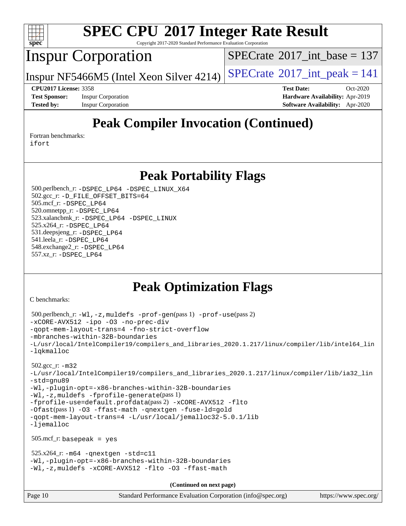

Copyright 2017-2020 Standard Performance Evaluation Corporation

## Inspur Corporation

 $SPECTate$ <sup>®</sup>[2017\\_int\\_base =](http://www.spec.org/auto/cpu2017/Docs/result-fields.html#SPECrate2017intbase) 137

Inspur NF5466M5 (Intel Xeon Silver 4214)  $SPECrate^{\circ}2017\_int\_peak = 141$  $SPECrate^{\circ}2017\_int\_peak = 141$ 

**[Tested by:](http://www.spec.org/auto/cpu2017/Docs/result-fields.html#Testedby)** Inspur Corporation **[Software Availability:](http://www.spec.org/auto/cpu2017/Docs/result-fields.html#SoftwareAvailability)** Apr-2020

**[CPU2017 License:](http://www.spec.org/auto/cpu2017/Docs/result-fields.html#CPU2017License)** 3358 **[Test Date:](http://www.spec.org/auto/cpu2017/Docs/result-fields.html#TestDate)** Oct-2020 **[Test Sponsor:](http://www.spec.org/auto/cpu2017/Docs/result-fields.html#TestSponsor)** Inspur Corporation **[Hardware Availability:](http://www.spec.org/auto/cpu2017/Docs/result-fields.html#HardwareAvailability)** Apr-2019

# **[Peak Compiler Invocation \(Continued\)](http://www.spec.org/auto/cpu2017/Docs/result-fields.html#PeakCompilerInvocation)**

[Fortran benchmarks](http://www.spec.org/auto/cpu2017/Docs/result-fields.html#Fortranbenchmarks): [ifort](http://www.spec.org/cpu2017/results/res2020q4/cpu2017-20201109-24372.flags.html#user_FCpeak_intel_ifort_8111460550e3ca792625aed983ce982f94888b8b503583aa7ba2b8303487b4d8a21a13e7191a45c5fd58ff318f48f9492884d4413fa793fd88dd292cad7027ca)

**[Peak Portability Flags](http://www.spec.org/auto/cpu2017/Docs/result-fields.html#PeakPortabilityFlags)**

 500.perlbench\_r: [-DSPEC\\_LP64](http://www.spec.org/cpu2017/results/res2020q4/cpu2017-20201109-24372.flags.html#b500.perlbench_r_peakPORTABILITY_DSPEC_LP64) [-DSPEC\\_LINUX\\_X64](http://www.spec.org/cpu2017/results/res2020q4/cpu2017-20201109-24372.flags.html#b500.perlbench_r_peakCPORTABILITY_DSPEC_LINUX_X64) 502.gcc\_r: [-D\\_FILE\\_OFFSET\\_BITS=64](http://www.spec.org/cpu2017/results/res2020q4/cpu2017-20201109-24372.flags.html#user_peakPORTABILITY502_gcc_r_file_offset_bits_64_5ae949a99b284ddf4e95728d47cb0843d81b2eb0e18bdfe74bbf0f61d0b064f4bda2f10ea5eb90e1dcab0e84dbc592acfc5018bc955c18609f94ddb8d550002c) 505.mcf\_r: [-DSPEC\\_LP64](http://www.spec.org/cpu2017/results/res2020q4/cpu2017-20201109-24372.flags.html#suite_peakPORTABILITY505_mcf_r_DSPEC_LP64) 520.omnetpp\_r: [-DSPEC\\_LP64](http://www.spec.org/cpu2017/results/res2020q4/cpu2017-20201109-24372.flags.html#suite_peakPORTABILITY520_omnetpp_r_DSPEC_LP64) 523.xalancbmk\_r: [-DSPEC\\_LP64](http://www.spec.org/cpu2017/results/res2020q4/cpu2017-20201109-24372.flags.html#suite_peakPORTABILITY523_xalancbmk_r_DSPEC_LP64) [-DSPEC\\_LINUX](http://www.spec.org/cpu2017/results/res2020q4/cpu2017-20201109-24372.flags.html#b523.xalancbmk_r_peakCXXPORTABILITY_DSPEC_LINUX) 525.x264\_r: [-DSPEC\\_LP64](http://www.spec.org/cpu2017/results/res2020q4/cpu2017-20201109-24372.flags.html#suite_peakPORTABILITY525_x264_r_DSPEC_LP64) 531.deepsjeng\_r: [-DSPEC\\_LP64](http://www.spec.org/cpu2017/results/res2020q4/cpu2017-20201109-24372.flags.html#suite_peakPORTABILITY531_deepsjeng_r_DSPEC_LP64) 541.leela\_r: [-DSPEC\\_LP64](http://www.spec.org/cpu2017/results/res2020q4/cpu2017-20201109-24372.flags.html#suite_peakPORTABILITY541_leela_r_DSPEC_LP64) 548.exchange2\_r: [-DSPEC\\_LP64](http://www.spec.org/cpu2017/results/res2020q4/cpu2017-20201109-24372.flags.html#suite_peakPORTABILITY548_exchange2_r_DSPEC_LP64) 557.xz\_r: [-DSPEC\\_LP64](http://www.spec.org/cpu2017/results/res2020q4/cpu2017-20201109-24372.flags.html#suite_peakPORTABILITY557_xz_r_DSPEC_LP64)

# **[Peak Optimization Flags](http://www.spec.org/auto/cpu2017/Docs/result-fields.html#PeakOptimizationFlags)**

[C benchmarks](http://www.spec.org/auto/cpu2017/Docs/result-fields.html#Cbenchmarks):

```
Page 10 Standard Performance Evaluation Corporation (info@spec.org) https://www.spec.org/
  500.perlbench_r: -Wl,-z,muldefs -prof-gen(pass 1) -prof-use(pass 2)
-xCORE-AVX512 -ipo -O3 -no-prec-div
-qopt-mem-layout-trans=4 -fno-strict-overflow
-mbranches-within-32B-boundaries
-L/usr/local/IntelCompiler19/compilers_and_libraries_2020.1.217/linux/compiler/lib/intel64_lin
-lqkmalloc
  502.gcc_r: -m32
-L/usr/local/IntelCompiler19/compilers_and_libraries_2020.1.217/linux/compiler/lib/ia32_lin
-std=gnu89
-Wl,-plugin-opt=-x86-branches-within-32B-boundaries
-Wl,-z,muldefs -fprofile-generate(pass 1)
-fprofile-use=default.profdata(pass 2) -xCORE-AVX512 -flto
-Ofast(pass 1) -O3 -ffast-math -qnextgen -fuse-ld=gold
-qopt-mem-layout-trans=4 -L/usr/local/jemalloc32-5.0.1/lib
-ljemalloc
  505.mcf_r: basepeak = yes
 525.x264_r: -m64-qnextgen -std=cl1-Wl,-plugin-opt=-x86-branches-within-32B-boundaries
-Wl,-z,muldefs -xCORE-AVX512 -flto -O3 -ffast-math
                                      (Continued on next page)
```